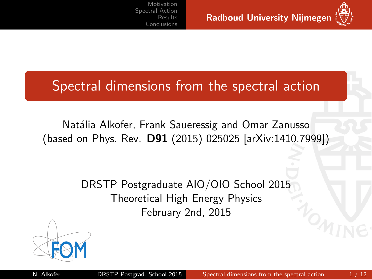Spectral dimensions from the spectral action

Natália Alkofer, Frank Saueressig and Omar Zanusso (based on Phys. Rev. D91 (2015) 025025 [arXiv:1410.7999])

> <span id="page-0-0"></span>DRSTP Postgraduate AIO/OIO School 2015 Theoretical High Energy Physics February 2nd, 2015

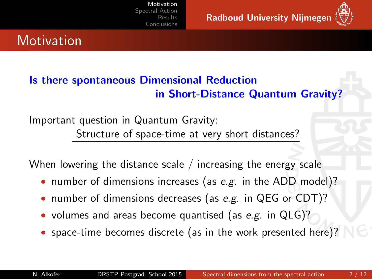<span id="page-1-0"></span>

# **Motivation**

### Is there spontaneous Dimensional Reduction in Short-Distance Quantum Gravity?

Important question in Quantum Gravity: Structure of space-time at very short distances?

When lowering the distance scale / increasing the energy scale

- number of dimensions increases (as e.g. in the ADD model)?
- number of dimensions decreases (as e.g. in QEG or CDT)?
- volumes and areas become quantised (as e.g. in QLG)?
- space-time becomes discrete (as in the work presented here)?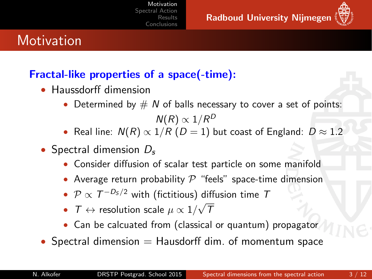

# **Motivation**

### Fractal-like properties of a space(-time):

- Haussdorff dimension
	- Determined by  $# N$  of balls necessary to cover a set of points:  $\mathsf{N}(R)\propto 1/R^D$
	- Real line:  $N(R) \propto 1/R$  ( $D = 1$ ) but coast of England:  $D \approx 1.2$
- Spectral dimension  $D_{s}$ 
	- Consider diffusion of scalar test particle on some manifold
	- Average return probability  $P$  "feels" space-time dimension
	- $\mathcal{P} \propto \mathcal{T}^{-D_\mathcal{S}/2}$  with (fictitious) diffusion time  $\mathcal{T}$ √
	- $\tau \leftrightarrow$  resolution scale  $\mu \propto 1/2$ T
	- Can be calcuated from (classical or quantum) propagator
- Spectral dimension  $=$  Hausdorff dim. of momentum space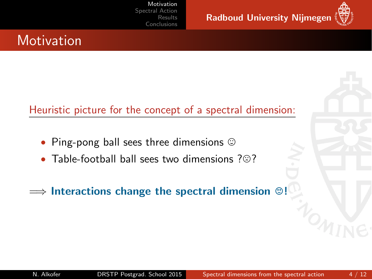



# **Motivation**

### Heuristic picture for the concept of a spectral dimension:

- Ping-pong ball sees three dimensions  $\odot$
- Table-football ball sees two dimensions  $?$  $@?$

 $\implies$  Interactions change the spectral dimension  $\odot$ !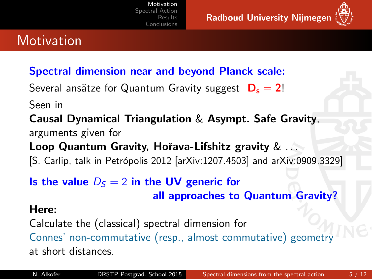Radboud University Nijmegen



# **Motivation**

### Spectral dimension near and beyond Planck scale:

Several ansätze for Quantum Gravity suggest  $D_s = 2!$ 

Seen in

Causal Dynamical Triangulation & Asympt. Safe Gravity, arguments given for

Loop Quantum Gravity, Hořava-Lifshitz gravity & ...

[S. Carlip, talk in Petrópolis 2012 [arXiv:1207.4503] and arXiv:0909.3329]

### Is the value  $D<sub>S</sub> = 2$  in the UV generic for

all approaches to Quantum Gravity?

#### Here:

Calculate the (classical) spectral dimension for Connes' non-commutative (resp., almost commutative) geometry at short distances.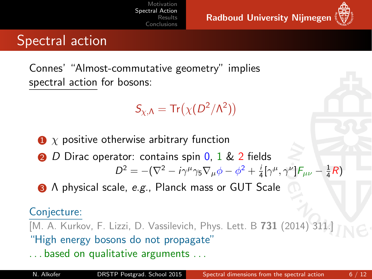Radboud University Nijmegen



## Spectral action

Connes' "Almost-commutative geometry" implies spectral action for bosons:

$$
S_{\chi,\Lambda}=\text{Tr}\big(\chi(D^2/\Lambda^2)\big)
$$

- $\bullet$  x positive otherwise arbitrary function
- **2** D Dirac operator: contains spin 0, 1 & 2 fields

<span id="page-5-0"></span> $D^2 = -(\nabla^2 - i\gamma^\mu\gamma_5\nabla_\mu\phi - \phi^2 + \frac{i}{4}[\gamma^\mu, \gamma^\nu]\mathcal{F}_{\mu\nu} - \frac{1}{4}\mathcal{R}$ 

3 Λ physical scale, e.g., Planck mass or GUT Scale

#### Conjecture:

[M. A. Kurkov, F. Lizzi, D. Vassilevich, Phys. Lett. B 731 (2014) 311. "High energy bosons do not propagate"

. . . based on qualitative arguments . . .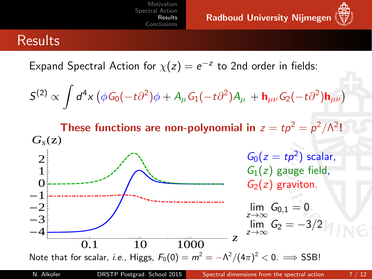Radboud University Nijmegen

<span id="page-6-0"></span>

### Results

Expand Spectral Action for  $\chi(z) = e^{-z}$  to 2nd order in fields:

$$
S^{(2)} \propto \int d^4x \left( \phi G_0(-t\partial^2)\phi + A_\mu G_1(-t\partial^2)A_\mu + \mathbf{h}_{\mu\nu} G_2(-t\partial^2) \mathbf{h}_{\mu\nu} \right)
$$

These functions are non-polynomial in  $z = tp^2 = p^2/\Lambda^2!$  $-4$   $-4$   $0.1$   $10$   $1000$  z  $-3\frac{1}{2}$  $-2\frac{1}{2}$  $-1\frac{1}{r}$ 0Į  $1\frac{1}{5}$ 2  $G_{s}(z)$  $G_0(z = tp^2)$  scalar,  $G_1(z)$  gauge field,  $G_2(z)$  graviton.  $\lim_{z\to\infty} G_{0,1} = 0$  $\lim_{z\to\infty} G_2 = -3/2$ 

Note that for scalar, *i.e.*, Higgs,  $F_0(0) = m^2 = -\Lambda^2/(4\pi)^2 < 0. \implies \text{SSB!}$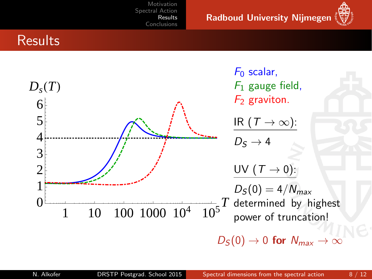Radboud University Nijmegen



### **Results**

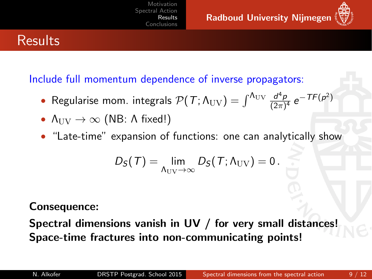

# **Results**

Include full momentum dependence of inverse propagators:

- Regularise mom. integrals  $\mathcal{P}(\mathcal{T}; \Lambda_{\rm UV}) = \int^{\Lambda_{\rm UV}} \frac{d^4 p}{(2\pi)^4}$  $\frac{d^4 p}{(2\pi)^4} e^{-\mathcal{T}F(p^2)}$
- $\Lambda_{\text{UV}} \rightarrow \infty$  (NB: A fixed!)
- "Late-time" expansion of functions: one can analytically show

$$
D_{S}(T)=\lim_{\Lambda_{\text{UV}}\to\infty}D_{S}(T;\Lambda_{\text{UV}})=0.
$$

#### Consequence:

Spectral dimensions vanish in UV / for very small distances! Space-time fractures into non-communicating points!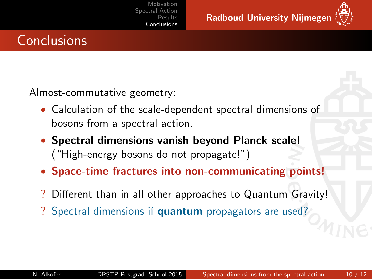Radboud University Nijmegen

<span id="page-9-0"></span>

# **Conclusions**

Almost-commutative geometry:

- Calculation of the scale-dependent spectral dimensions of bosons from a spectral action.
- Spectral dimensions vanish beyond Planck scale! ("High-energy bosons do not propagate!")
- Space-time fractures into non-communicating points!
- Different than in all other approaches to Quantum Gravity!
- ? Spectral dimensions if quantum propagators are used?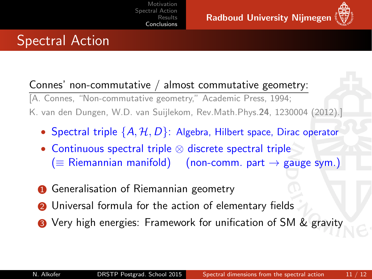

Connes' non-commutative / almost commutative geometry: [A. Connes, "Non-commutative geometry," Academic Press, 1994; K. van den Dungen, W.D. van Suijlekom, Rev.Math.Phys.24, 1230004 (2012).]

- Spectral triple  $\{A, H, D\}$ : Algebra, Hilbert space, Dirac operator
- Continuous spectral triple ⊗ discrete spectral triple  $($   $\equiv$  Riemannian manifold) (non-comm. part  $\rightarrow$  gauge sym.)
- **1** Generalisation of Riemannian geometry
- **2** Universal formula for the action of elementary fields
- **3** Very high energies: Framework for unification of SM & gravity